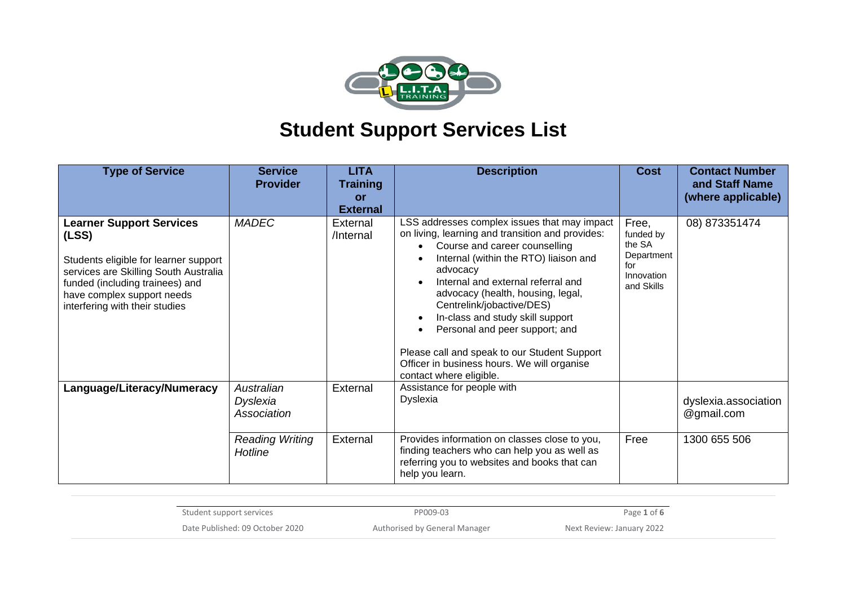

| <b>Type of Service</b>                                                                                                                                                                                                        | <b>Service</b><br><b>Provider</b>     | <b>LITA</b><br><b>Training</b><br>or<br><b>External</b> | <b>Description</b>                                                                                                                                                                                                                                                                                                                                                                                                                                                                                          | <b>Cost</b>                                                                   | <b>Contact Number</b><br>and Staff Name<br>(where applicable) |
|-------------------------------------------------------------------------------------------------------------------------------------------------------------------------------------------------------------------------------|---------------------------------------|---------------------------------------------------------|-------------------------------------------------------------------------------------------------------------------------------------------------------------------------------------------------------------------------------------------------------------------------------------------------------------------------------------------------------------------------------------------------------------------------------------------------------------------------------------------------------------|-------------------------------------------------------------------------------|---------------------------------------------------------------|
| <b>Learner Support Services</b><br>(LSS)<br>Students eligible for learner support<br>services are Skilling South Australia<br>funded (including trainees) and<br>have complex support needs<br>interfering with their studies | <b>MADEC</b>                          | External<br>/Internal                                   | LSS addresses complex issues that may impact<br>on living, learning and transition and provides:<br>Course and career counselling<br>Internal (within the RTO) liaison and<br>advocacy<br>Internal and external referral and<br>advocacy (health, housing, legal,<br>Centrelink/jobactive/DES)<br>In-class and study skill support<br>Personal and peer support; and<br>$\bullet$<br>Please call and speak to our Student Support<br>Officer in business hours. We will organise<br>contact where eligible. | Free,<br>funded by<br>the SA<br>Department<br>for<br>Innovation<br>and Skills | 08) 873351474                                                 |
| Language/Literacy/Numeracy                                                                                                                                                                                                    | Australian<br>Dyslexia<br>Association | External                                                | Assistance for people with<br>Dyslexia                                                                                                                                                                                                                                                                                                                                                                                                                                                                      |                                                                               | dyslexia.association<br>@gmail.com                            |
|                                                                                                                                                                                                                               | <b>Reading Writing</b><br>Hotline     | External                                                | Provides information on classes close to you,<br>finding teachers who can help you as well as<br>referring you to websites and books that can<br>help you learn.                                                                                                                                                                                                                                                                                                                                            | Free                                                                          | 1300 655 506                                                  |

| Student support services        | PP009-03                      | Page 1 of 6               |
|---------------------------------|-------------------------------|---------------------------|
| Date Published: 09 October 2020 | Authorised by General Manager | Next Review: January 2022 |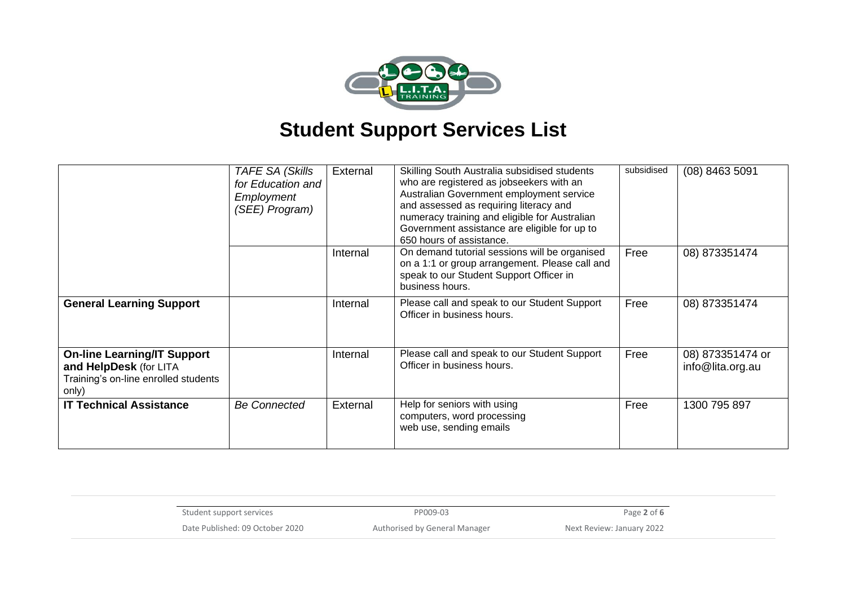

|                                                                                                               | <b>TAFE SA (Skills</b><br>for Education and<br>Employment<br>(SEE) Program) | External | Skilling South Australia subsidised students<br>who are registered as jobseekers with an<br>Australian Government employment service<br>and assessed as requiring literacy and<br>numeracy training and eligible for Australian<br>Government assistance are eligible for up to<br>650 hours of assistance. | subsidised | $(08)$ 8463 5091                     |
|---------------------------------------------------------------------------------------------------------------|-----------------------------------------------------------------------------|----------|-------------------------------------------------------------------------------------------------------------------------------------------------------------------------------------------------------------------------------------------------------------------------------------------------------------|------------|--------------------------------------|
|                                                                                                               |                                                                             | Internal | On demand tutorial sessions will be organised<br>on a 1:1 or group arrangement. Please call and<br>speak to our Student Support Officer in<br>business hours.                                                                                                                                               | Free       | 08) 873351474                        |
| <b>General Learning Support</b>                                                                               |                                                                             | Internal | Please call and speak to our Student Support<br>Officer in business hours.                                                                                                                                                                                                                                  | Free       | 08) 873351474                        |
| <b>On-line Learning/IT Support</b><br>and HelpDesk (for LITA<br>Training's on-line enrolled students<br>only) |                                                                             | Internal | Please call and speak to our Student Support<br>Officer in business hours.                                                                                                                                                                                                                                  | Free       | 08) 873351474 or<br>info@lita.org.au |
| <b>IT Technical Assistance</b>                                                                                | <b>Be Connected</b>                                                         | External | Help for seniors with using<br>computers, word processing<br>web use, sending emails                                                                                                                                                                                                                        | Free       | 1300 795 897                         |

| Student support services        | PP009-03                      | Page 2 of 6               |
|---------------------------------|-------------------------------|---------------------------|
| Date Published: 09 October 2020 | Authorised by General Manager | Next Review: January 2022 |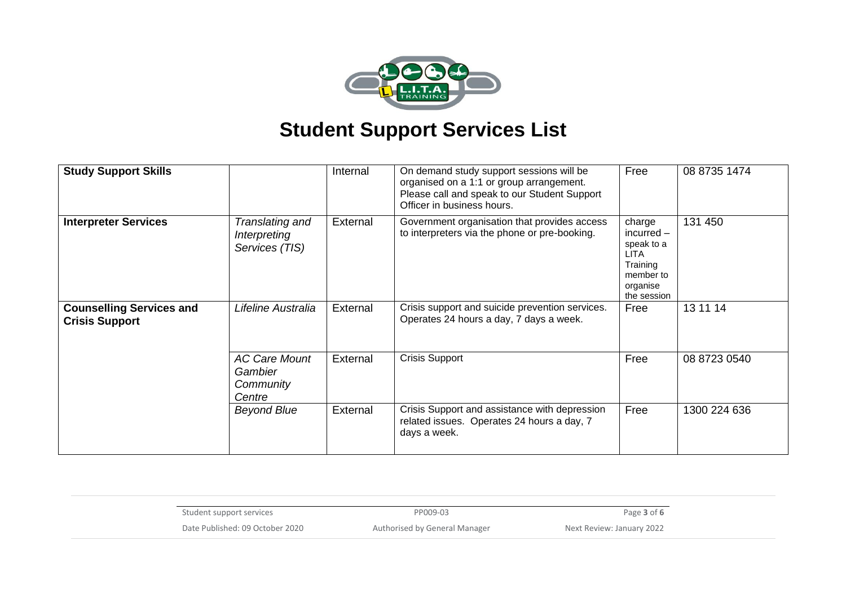

| <b>Study Support Skills</b>                              |                                                        | Internal | On demand study support sessions will be<br>organised on a 1:1 or group arrangement.<br>Please call and speak to our Student Support<br>Officer in business hours. | Free                                                                                                    | 08 8735 1474 |
|----------------------------------------------------------|--------------------------------------------------------|----------|--------------------------------------------------------------------------------------------------------------------------------------------------------------------|---------------------------------------------------------------------------------------------------------|--------------|
| <b>Interpreter Services</b>                              | Translating and<br>Interpreting<br>Services (TIS)      | External | Government organisation that provides access<br>to interpreters via the phone or pre-booking.                                                                      | charge<br>$incurred -$<br>speak to a<br><b>LITA</b><br>Training<br>member to<br>organise<br>the session | 131 450      |
| <b>Counselling Services and</b><br><b>Crisis Support</b> | Lifeline Australia                                     | External | Crisis support and suicide prevention services.<br>Operates 24 hours a day, 7 days a week.                                                                         | Free                                                                                                    | 13 11 14     |
|                                                          | <b>AC Care Mount</b><br>Gambier<br>Community<br>Centre | External | <b>Crisis Support</b>                                                                                                                                              | Free                                                                                                    | 08 8723 0540 |
|                                                          | <b>Beyond Blue</b>                                     | External | Crisis Support and assistance with depression<br>related issues. Operates 24 hours a day, 7<br>days a week.                                                        | Free                                                                                                    | 1300 224 636 |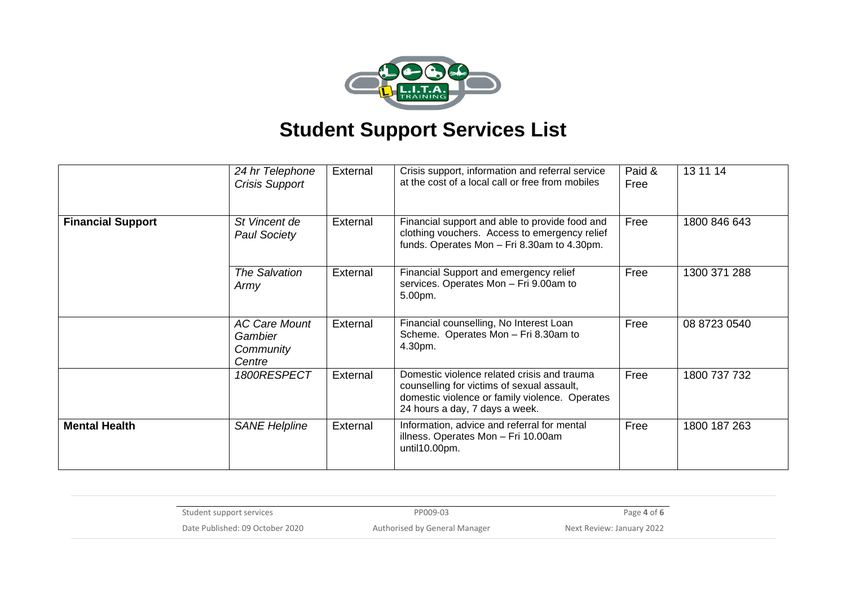

|                          | 24 hr Telephone<br>Crisis Support                      | External | Crisis support, information and referral service<br>at the cost of a local call or free from mobiles                                                                          | Paid &<br>Free | 13 11 14     |
|--------------------------|--------------------------------------------------------|----------|-------------------------------------------------------------------------------------------------------------------------------------------------------------------------------|----------------|--------------|
| <b>Financial Support</b> | St Vincent de<br><b>Paul Society</b>                   | External | Financial support and able to provide food and<br>clothing vouchers. Access to emergency relief<br>funds. Operates Mon - Fri 8.30am to 4.30pm.                                | Free           | 1800 846 643 |
|                          | <b>The Salvation</b><br>Army                           | External | Financial Support and emergency relief<br>services. Operates Mon - Fri 9.00am to<br>5.00pm.                                                                                   | Free           | 1300 371 288 |
|                          | <b>AC Care Mount</b><br>Gambier<br>Community<br>Centre | External | Financial counselling, No Interest Loan<br>Scheme. Operates Mon - Fri 8.30am to<br>4.30pm.                                                                                    | Free           | 08 8723 0540 |
|                          | 1800RESPECT                                            | External | Domestic violence related crisis and trauma<br>counselling for victims of sexual assault,<br>domestic violence or family violence. Operates<br>24 hours a day, 7 days a week. | Free           | 1800 737 732 |
| <b>Mental Health</b>     | <b>SANE Helpline</b>                                   | External | Information, advice and referral for mental<br>illness. Operates Mon - Fri 10.00am<br>until10.00pm.                                                                           | Free           | 1800 187 263 |

| Student support services        | PP009-03                      | Page 4 of 6               |
|---------------------------------|-------------------------------|---------------------------|
| Date Published: 09 October 2020 | Authorised by General Manager | Next Review: January 2022 |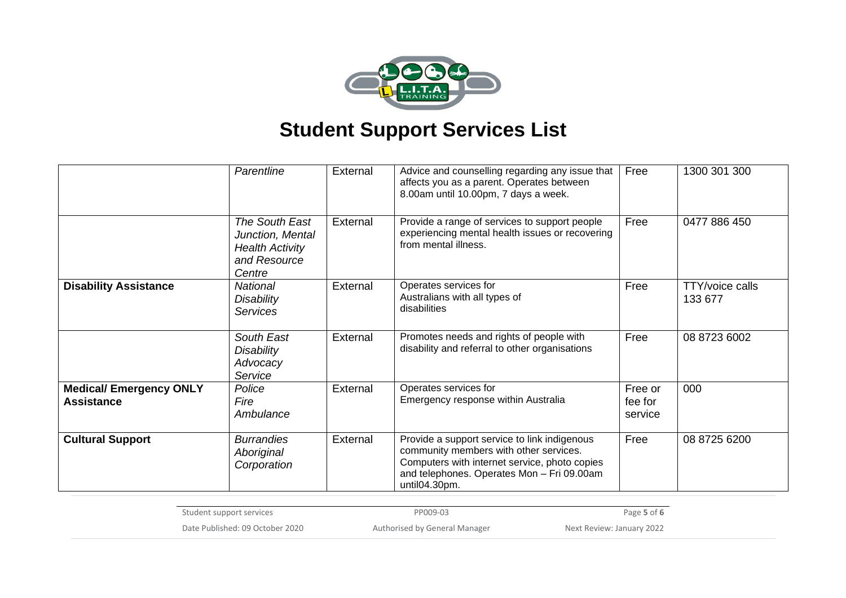

|                                                     | Parentline                                                                             | External | Advice and counselling regarding any issue that<br>affects you as a parent. Operates between<br>8.00am until 10.00pm, 7 days a week.                                                                   | Free                          | 1300 301 300                      |
|-----------------------------------------------------|----------------------------------------------------------------------------------------|----------|--------------------------------------------------------------------------------------------------------------------------------------------------------------------------------------------------------|-------------------------------|-----------------------------------|
|                                                     | The South East<br>Junction, Mental<br><b>Health Activity</b><br>and Resource<br>Centre | External | Provide a range of services to support people<br>experiencing mental health issues or recovering<br>from mental illness.                                                                               | Free                          | 0477 886 450                      |
| <b>Disability Assistance</b>                        | <b>National</b><br><b>Disability</b><br><b>Services</b>                                | External | Operates services for<br>Australians with all types of<br>disabilities                                                                                                                                 | Free                          | <b>TTY/voice calls</b><br>133 677 |
|                                                     | South East<br>Disability<br>Advocacy<br>Service                                        | External | Promotes needs and rights of people with<br>disability and referral to other organisations                                                                                                             | Free                          | 08 8723 6002                      |
| <b>Medical/ Emergency ONLY</b><br><b>Assistance</b> | Police<br>Fire<br>Ambulance                                                            | External | Operates services for<br>Emergency response within Australia                                                                                                                                           | Free or<br>fee for<br>service | 000                               |
| <b>Cultural Support</b>                             | <b>Burrandies</b><br>Aboriginal<br>Corporation                                         | External | Provide a support service to link indigenous<br>community members with other services.<br>Computers with internet service, photo copies<br>and telephones. Operates Mon - Fri 09.00am<br>until04.30pm. | Free                          | 08 8725 6200                      |

| Student support services        | PP009-03                      | Page 5 of 6               |
|---------------------------------|-------------------------------|---------------------------|
| Date Published: 09 October 2020 | Authorised by General Manager | Next Review: January 2022 |